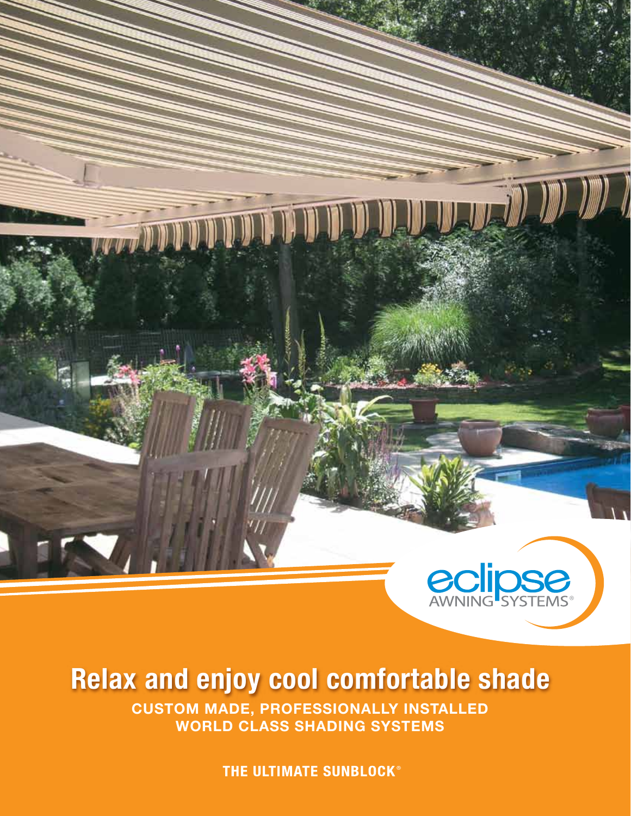

### **Relax and enjoy cool comfortable shade**

**CUSTOM MADE, PROFESSIONALLY INSTALLED WORLD CLASS SHADING SYSTEMS**

THE ULTIMATE SUNBLOCK®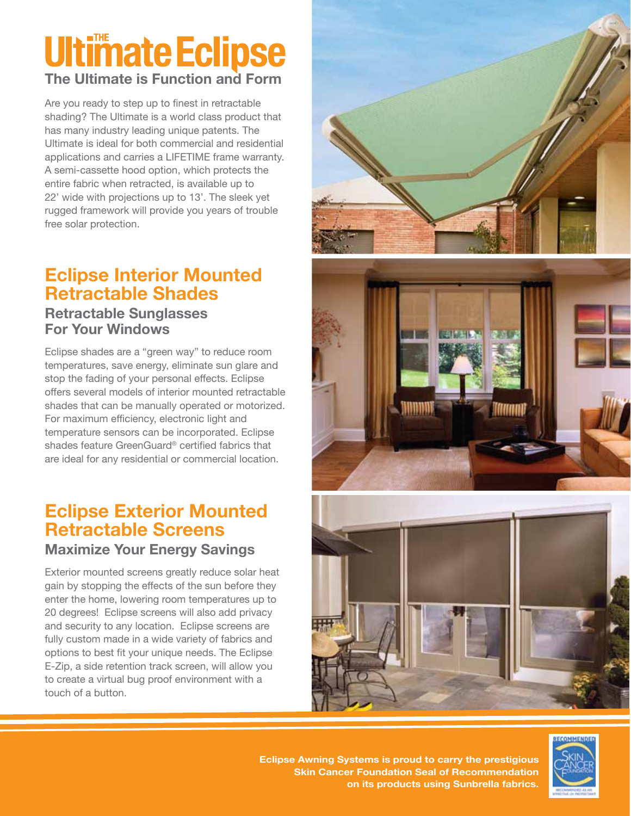### **Ultimate Eclipse The Ultimate is Function and Form**

Are you ready to step up to finest in retractable shading? The Ultimate is a world class product that has many industry leading unique patents. The Ultimate is ideal for both commercial and residential applications and carries a LIFETIME frame warranty. A semi-cassette hood option, which protects the entire fabric when retracted, is available up to 22' wide with projections up to 13'. The sleek yet rugged framework will provide you years of trouble free solar protection.

### **Eclipse Interior Mounted Retractable Shades**

#### **Retractable Sunglasses For Your Windows**

Eclipse shades are a "green way" to reduce room temperatures, save energy, eliminate sun glare and stop the fading of your personal effects. Eclipse offers several models of interior mounted retractable shades that can be manually operated or motorized. For maximum efficiency, electronic light and temperature sensors can be incorporated. Eclipse shades feature GreenGuard® certified fabrics that are ideal for any residential or commercial location.

### **Eclipse Exterior Mounted Retractable Screens Maximize Your Energy Savings**

Exterior mounted screens greatly reduce solar heat gain by stopping the effects of the sun before they enter the home, lowering room temperatures up to 20 degrees! Eclipse screens will also add privacy and security to any location. Eclipse screens are fully custom made in a wide variety of fabrics and options to best fit your unique needs. The Eclipse E-Zip, a side retention track screen, will allow you to create a virtual bug proof environment with a touch of a button.







**Eclipse Awning Systems is proud to carry the prestigious Skin Cancer Foundation Seal of Recommendation on its products using Sunbrella fabrics.**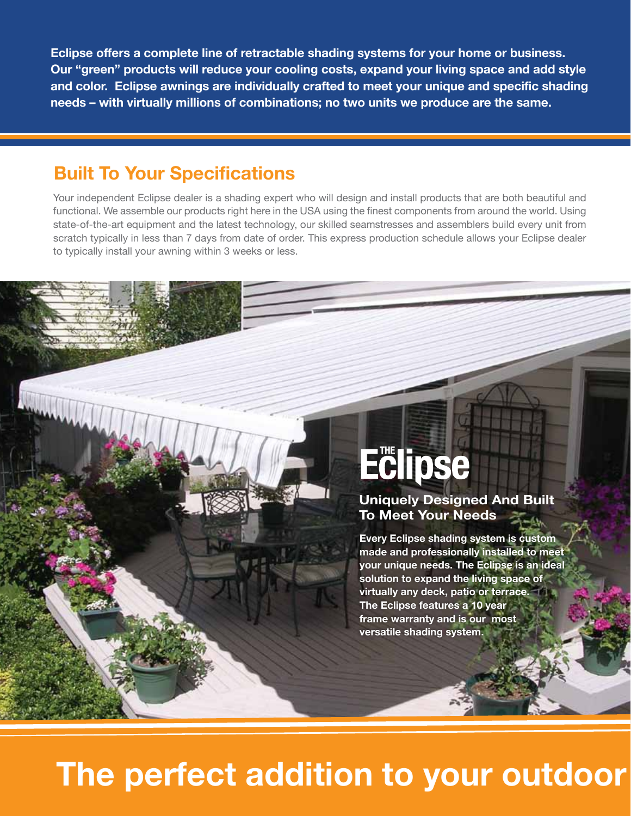**Eclipse offers a complete line of retractable shading systems for your home or business. Our "green" products will reduce your cooling costs, expand your living space and add style and color. Eclipse awnings are individually crafted to meet your unique and specific shading needs – with virtually millions of combinations; no two units we produce are the same.**

### **Built To Your Specifications**

Your independent Eclipse dealer is a shading expert who will design and install products that are both beautiful and functional. We assemble our products right here in the USA using the finest components from around the world. Using state-of-the-art equipment and the latest technology, our skilled seamstresses and assemblers build every unit from scratch typically in less than 7 days from date of order. This express production schedule allows your Eclipse dealer to typically install your awning within 3 weeks or less.

# **Eclipse**

**Uniquely Designed And Built To Meet Your Needs**

**Every Eclipse shading system is custom made and professionally installed to meet your unique needs. The Eclipse is an ideal solution to expand the living space of virtually any deck, patio or terrace. The Eclipse features a 10 year frame warranty and is our most versatile shading system.**

### **The perfect addition to your outdoor**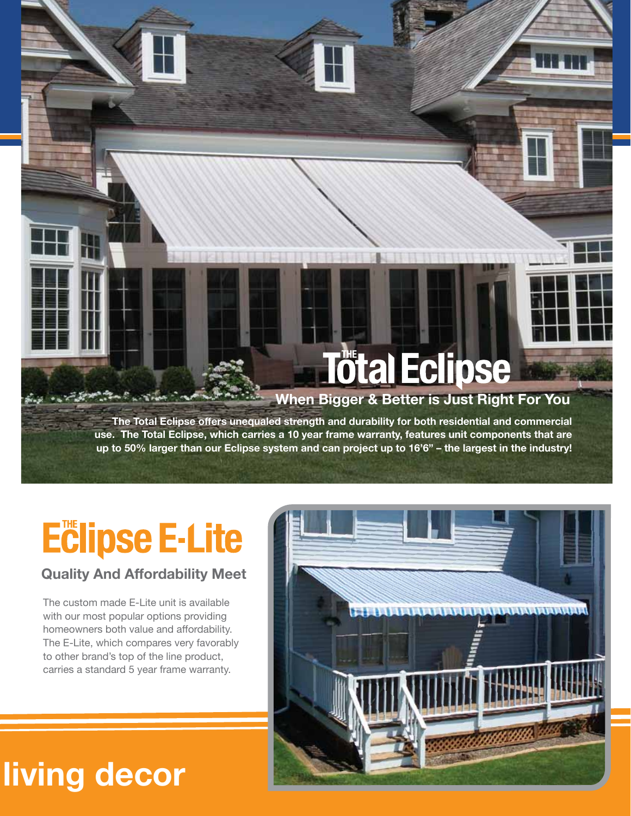# **Tötal Eclipse**

### **When Bigger & Better is Just Right For You**

**The Total Eclipse offers unequaled strength and durability for both residential and commercial use. The Total Eclipse, which carries a 10 year frame warranty, features unit components that are up to 50% larger than our Eclipse system and can project up to 16'6" – the largest in the industry!**

### **Eclipse E-Lite**

*Company of the* 

### **Quality And Affordability Meet**

The custom made E-Lite unit is available with our most popular options providing homeowners both value and affordability. The E-Lite, which compares very favorably to other brand's top of the line product, carries a standard 5 year frame warranty.



### **The property of the periodical decord**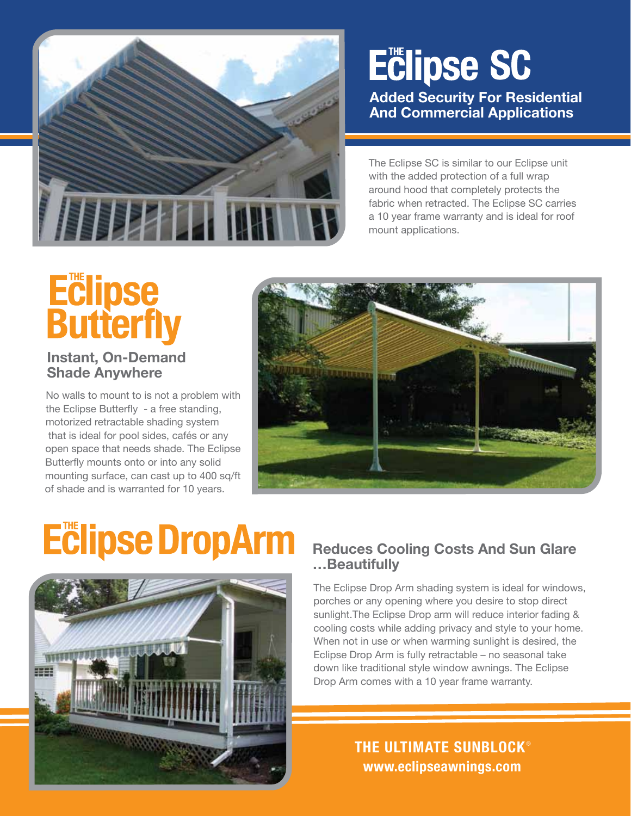

### **Eclipse SC**

**Added Security For Residential And Commercial Applications**

The Eclipse SC is similar to our Eclipse unit with the added protection of a full wrap around hood that completely protects the fabric when retracted. The Eclipse SC carries a 10 year frame warranty and is ideal for roof mount applications.

# **Eclipse<br>Butterfly**

#### **Instant, On-Demand Shade Anywhere**

No walls to mount to is not a problem with the Eclipse Butterfly - a free standing, motorized retractable shading system that is ideal for pool sides, cafés or any open space that needs shade. The Eclipse Butterfly mounts onto or into any solid mounting surface, can cast up to 400 sq/ft of shade and is warranted for 10 years.



# **Eclipse DropArm**



### **Reduces Cooling Costs And Sun Glare …Beautifully**

The Eclipse Drop Arm shading system is ideal for windows, porches or any opening where you desire to stop direct sunlight.The Eclipse Drop arm will reduce interior fading & cooling costs while adding privacy and style to your home. When not in use or when warming sunlight is desired, the Eclipse Drop Arm is fully retractable – no seasonal take down like traditional style window awnings. The Eclipse Drop Arm comes with a 10 year frame warranty.

### **www.eclipseawnings.com THE ULTIMATE SUNBLOCK**